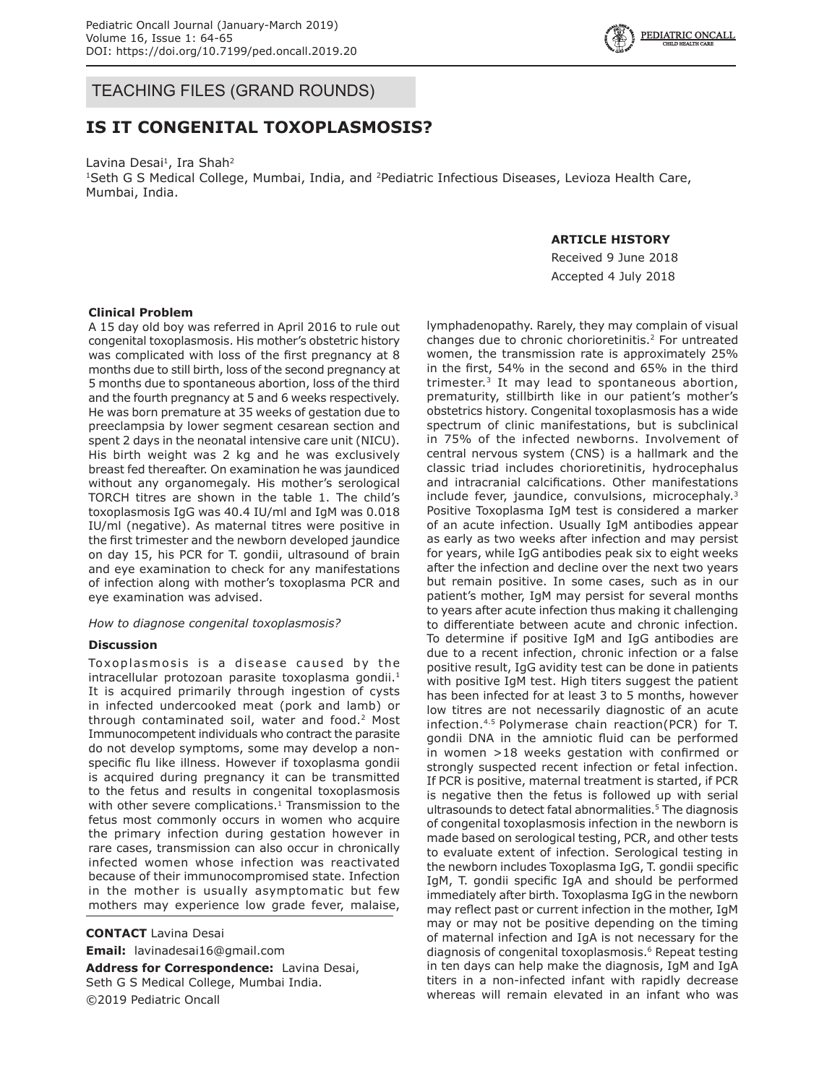## TEACHING FILES (GRAND ROUNDS)

# **IS IT CONGENITAL TOXOPLASMOSIS?**

Lavina Desai<sup>1</sup>, Ira Shah<sup>2</sup> <sup>1</sup>Seth G S Medical College, Mumbai, India, and <sup>2</sup>Pediatric Infectious Diseases, Levioza Health Care, Mumbai, India.

## **ARTICLE HISTORY**

Received 9 June 2018 Accepted 4 July 2018

## **Clinical Problem**

A 15 day old boy was referred in April 2016 to rule out congenital toxoplasmosis. His mother's obstetric history was complicated with loss of the first pregnancy at 8 months due to still birth, loss of the second pregnancy at 5 months due to spontaneous abortion, loss of the third and the fourth pregnancy at 5 and 6 weeks respectively. He was born premature at 35 weeks of gestation due to preeclampsia by lower segment cesarean section and spent 2 days in the neonatal intensive care unit (NICU). His birth weight was 2 kg and he was exclusively breast fed thereafter. On examination he was jaundiced without any organomegaly. His mother's serological TORCH titres are shown in the table 1. The child's toxoplasmosis IgG was 40.4 IU/ml and IgM was 0.018 IU/ml (negative). As maternal titres were positive in the first trimester and the newborn developed jaundice on day 15, his PCR for T. gondii, ultrasound of brain and eye examination to check for any manifestations of infection along with mother's toxoplasma PCR and eye examination was advised.

### *How to diagnose congenital toxoplasmosis?*

### **Discussion**

Toxoplasmosis is a disease caused by the intracellular protozoan parasite toxoplasma gondii.<sup>1</sup> It is acquired primarily through ingestion of cysts in infected undercooked meat (pork and lamb) or through contaminated soil, water and food.<sup>2</sup> Most Immunocompetent individuals who contract the parasite do not develop symptoms, some may develop a nonspecific flu like illness. However if toxoplasma gondii is acquired during pregnancy it can be transmitted to the fetus and results in congenital toxoplasmosis with other severe complications. $1$  Transmission to the fetus most commonly occurs in women who acquire the primary infection during gestation however in rare cases, transmission can also occur in chronically infected women whose infection was reactivated because of their immunocompromised state. Infection in the mother is usually asymptomatic but few mothers may experience low grade fever, malaise,

**CONTACT** Lavina Desai **Email:** lavinadesai16@gmail.com

**Address for Correspondence:** Lavina Desai, Seth G S Medical College, Mumbai India. ©2019 Pediatric Oncall

lymphadenopathy. Rarely, they may complain of visual changes due to chronic chorioretinitis.2 For untreated women, the transmission rate is approximately 25% in the first, 54% in the second and 65% in the third trimester.<sup>3</sup> It may lead to spontaneous abortion, prematurity, stillbirth like in our patient's mother's obstetrics history. Congenital toxoplasmosis has a wide spectrum of clinic manifestations, but is subclinical in 75% of the infected newborns. Involvement of central nervous system (CNS) is a hallmark and the classic triad includes chorioretinitis, hydrocephalus and intracranial calcifications. Other manifestations include fever, jaundice, convulsions, microcephaly.<sup>3</sup> Positive Toxoplasma IgM test is considered a marker of an acute infection. Usually IgM antibodies appear as early as two weeks after infection and may persist for years, while IgG antibodies peak six to eight weeks after the infection and decline over the next two years but remain positive. In some cases, such as in our patient's mother, IgM may persist for several months to years after acute infection thus making it challenging to differentiate between acute and chronic infection. To determine if positive IgM and IgG antibodies are due to a recent infection, chronic infection or a false positive result, IgG avidity test can be done in patients with positive IgM test. High titers suggest the patient has been infected for at least 3 to 5 months, however low titres are not necessarily diagnostic of an acute infection.4.5 Polymerase chain reaction(PCR) for T. gondii DNA in the amniotic fluid can be performed in women >18 weeks gestation with confirmed or strongly suspected recent infection or fetal infection. If PCR is positive, maternal treatment is started, if PCR is negative then the fetus is followed up with serial ultrasounds to detect fatal abnormalities.<sup>5</sup> The diagnosis of congenital toxoplasmosis infection in the newborn is made based on serological testing, PCR, and other tests to evaluate extent of infection. Serological testing in the newborn includes Toxoplasma IgG, T. gondii specific IgM, T. gondii specific IgA and should be performed immediately after birth. Toxoplasma IgG in the newborn may reflect past or current infection in the mother, IgM may or may not be positive depending on the timing of maternal infection and IgA is not necessary for the diagnosis of congenital toxoplasmosis.<sup>6</sup> Repeat testing in ten days can help make the diagnosis, IgM and IgA titers in a non-infected infant with rapidly decrease whereas will remain elevated in an infant who was